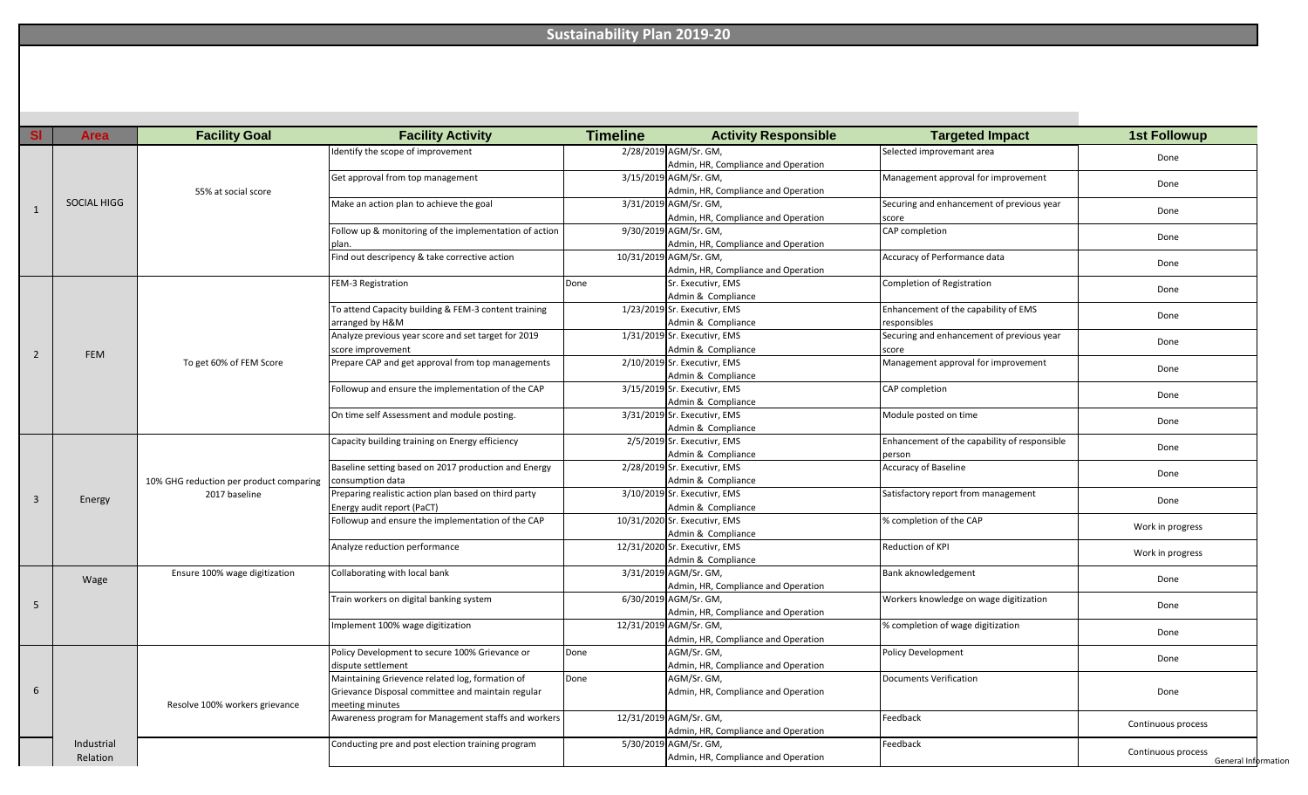## **Sustainability Plan 2019-20**

| <b>SI</b>      | Area        | <b>Facility Goal</b>                                     | <b>Facility Activity</b>                               | <b>Timeline</b>                                              | <b>Activity Responsible</b>         | <b>Targeted Impact</b>                             | <b>1st Followup</b> |  |
|----------------|-------------|----------------------------------------------------------|--------------------------------------------------------|--------------------------------------------------------------|-------------------------------------|----------------------------------------------------|---------------------|--|
|                |             |                                                          | Identify the scope of improvement                      |                                                              | 2/28/2019 AGM/Sr. GM,               | Selected improvemant area                          |                     |  |
|                |             | 55% at social score                                      |                                                        |                                                              | Admin, HR, Compliance and Operation |                                                    | Done                |  |
|                |             |                                                          | Get approval from top management                       | 3/15/2019 AGM/Sr. GM,<br>Admin, HR, Compliance and Operation |                                     | Management approval for improvement                |                     |  |
|                | SOCIAL HIGG |                                                          |                                                        |                                                              |                                     |                                                    | Done                |  |
|                |             |                                                          | Make an action plan to achieve the goal                | 3/31/2019 AGM/Sr. GM,<br>Admin, HR, Compliance and Operation |                                     | Securing and enhancement of previous year<br>score | Done                |  |
|                |             |                                                          |                                                        |                                                              |                                     |                                                    |                     |  |
|                |             |                                                          | Follow up & monitoring of the implementation of action | 9/30/2019 AGM/Sr. GM,<br>Admin, HR, Compliance and Operation |                                     | CAP completion                                     | Done                |  |
|                |             |                                                          | plan.                                                  |                                                              |                                     |                                                    |                     |  |
|                |             |                                                          | Find out descripency & take corrective action          |                                                              | 10/31/2019 AGM/Sr. GM,              | Accuracy of Performance data                       |                     |  |
|                |             |                                                          |                                                        |                                                              | Admin, HR, Compliance and Operation |                                                    | Done                |  |
|                |             |                                                          | FEM-3 Registration                                     | Done                                                         | Sr. Executivr, EMS                  | Completion of Registration                         |                     |  |
|                |             |                                                          |                                                        |                                                              | Admin & Compliance                  |                                                    | Done                |  |
|                |             |                                                          | To attend Capacity building & FEM-3 content training   |                                                              | 1/23/2019 Sr. Executivr, EMS        | Enhancement of the capability of EMS               | Done                |  |
|                |             |                                                          | arranged by H&M                                        |                                                              | Admin & Compliance                  | esponsibles                                        |                     |  |
|                |             |                                                          | Analyze previous year score and set target for 2019    |                                                              | 1/31/2019 Sr. Executivr, EMS        | Securing and enhancement of previous year          |                     |  |
|                |             |                                                          | score improvement                                      |                                                              | Admin & Compliance                  | score                                              | Done                |  |
| $\overline{2}$ | <b>FEM</b>  |                                                          | Prepare CAP and get approval from top managements      |                                                              | 2/10/2019 Sr. Executivr, EMS        | Management approval for improvement                |                     |  |
|                |             | To get 60% of FEM Score                                  |                                                        |                                                              | Admin & Compliance                  |                                                    | Done                |  |
|                |             |                                                          | Followup and ensure the implementation of the CAP      |                                                              | 3/15/2019 Sr. Executivr, EMS        |                                                    |                     |  |
|                |             |                                                          |                                                        |                                                              | Admin & Compliance                  | CAP completion                                     | Done                |  |
|                |             |                                                          |                                                        |                                                              |                                     |                                                    | Done                |  |
|                |             |                                                          | On time self Assessment and module posting.            |                                                              | 3/31/2019 Sr. Executivr, EMS        | Module posted on time                              |                     |  |
|                |             |                                                          |                                                        |                                                              | Admin & Compliance                  |                                                    |                     |  |
|                |             |                                                          | Capacity building training on Energy efficiency        |                                                              | 2/5/2019 Sr. Executivr, EMS         | Enhancement of the capability of responsible       | Done                |  |
|                |             |                                                          |                                                        |                                                              | Admin & Compliance                  | person                                             |                     |  |
|                | Energy      | 10% GHG reduction per product comparing<br>2017 baseline | Baseline setting based on 2017 production and Energy   |                                                              | 2/28/2019 Sr. Executivr, EMS        | <b>Accuracy of Baseline</b>                        | Done                |  |
|                |             |                                                          | consumption data                                       |                                                              | Admin & Compliance                  |                                                    |                     |  |
| 3              |             |                                                          | Preparing realistic action plan based on third party   |                                                              | 3/10/2019 Sr. Executivr, EMS        | Satisfactory report from management                | Done                |  |
|                |             |                                                          | Energy audit report (PaCT)                             |                                                              | Admin & Compliance                  |                                                    |                     |  |
|                |             |                                                          | Followup and ensure the implementation of the CAP      |                                                              | 10/31/2020 Sr. Executivr, EMS       | % completion of the CAP                            | Work in progress    |  |
|                |             |                                                          |                                                        |                                                              | Admin & Compliance                  |                                                    |                     |  |
|                |             |                                                          | Analyze reduction performance                          |                                                              | 12/31/2020 Sr. Executivr, EMS       | Reduction of KPI                                   | Work in progress    |  |
|                |             |                                                          |                                                        |                                                              | Admin & Compliance                  |                                                    |                     |  |
|                | Wage        | Ensure 100% wage digitization                            | Collaborating with local bank                          |                                                              | 3/31/2019 AGM/Sr. GM,               | Bank aknowledgement                                | Done                |  |
|                |             |                                                          |                                                        |                                                              | Admin, HR, Compliance and Operation |                                                    |                     |  |
| 5              |             |                                                          | Train workers on digital banking system                |                                                              | 6/30/2019 AGM/Sr. GM,               | Workers knowledge on wage digitization             | Done                |  |
|                |             |                                                          |                                                        |                                                              | Admin, HR, Compliance and Operation |                                                    |                     |  |
|                |             |                                                          | Implement 100% wage digitization                       |                                                              | 12/31/2019 AGM/Sr. GM,              | % completion of wage digitization                  | Done                |  |
|                |             |                                                          |                                                        |                                                              | Admin, HR, Compliance and Operation |                                                    |                     |  |
| 6              |             |                                                          | Policy Development to secure 100% Grievance or         | Done                                                         | AGM/Sr. GM,                         | Policy Development                                 |                     |  |
|                |             |                                                          | dispute settlement                                     |                                                              | Admin, HR, Compliance and Operation |                                                    | Done                |  |
|                |             |                                                          | Maintaining Grievence related log, formation of        | Done                                                         | AGM/Sr. GM,                         | Documents Verification                             |                     |  |
|                |             | Resolve 100% workers grievance                           | Grievance Disposal committee and maintain regular      |                                                              | Admin, HR, Compliance and Operation |                                                    | Done                |  |
|                |             |                                                          | meeting minutes                                        |                                                              |                                     |                                                    |                     |  |
|                |             |                                                          | Awareness program for Management staffs and workers    |                                                              | 12/31/2019 AGM/Sr. GM,              | Feedback                                           |                     |  |
|                |             |                                                          |                                                        |                                                              | Admin, HR, Compliance and Operation |                                                    | Continuous process  |  |
|                |             |                                                          | Conducting pre and post election training program      |                                                              | 5/30/2019 AGM/Sr. GM,               | Feedback                                           |                     |  |
|                | Industrial  |                                                          |                                                        |                                                              |                                     |                                                    |                     |  |